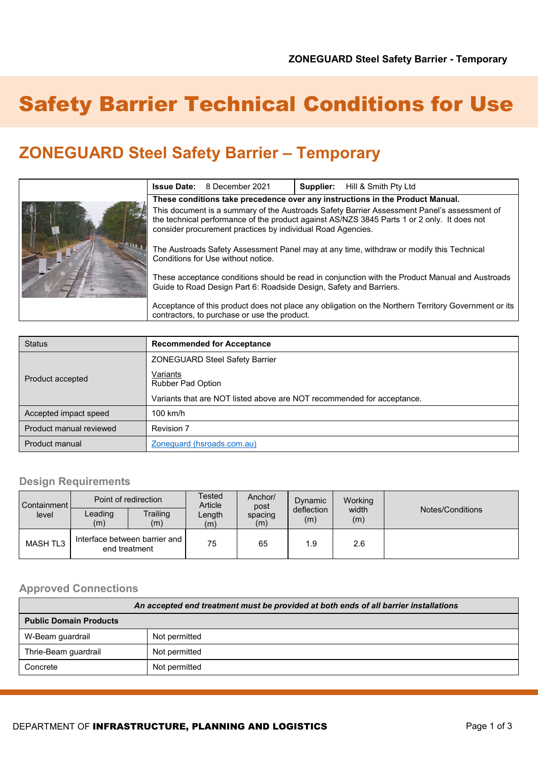# Safety Barrier Technical Conditions for Use

## **ZONEGUARD Steel Safety Barrier – Temporary**

|                                                                                                                                                                                                                                                           | <b>Issue Date:</b> 8 December 2021 | Supplier: | Hill & Smith Pty Ltd |
|-----------------------------------------------------------------------------------------------------------------------------------------------------------------------------------------------------------------------------------------------------------|------------------------------------|-----------|----------------------|
| These conditions take precedence over any instructions in the Product Manual.                                                                                                                                                                             |                                    |           |                      |
| This document is a summary of the Austroads Safety Barrier Assessment Panel's assessment of<br>the technical performance of the product against AS/NZS 3845 Parts 1 or 2 only. It does not<br>consider procurement practices by individual Road Agencies. |                                    |           |                      |
| The Austroads Safety Assessment Panel may at any time, withdraw or modify this Technical<br>Conditions for Use without notice.                                                                                                                            |                                    |           |                      |
| These acceptance conditions should be read in conjunction with the Product Manual and Austroads<br>Guide to Road Design Part 6: Roadside Design, Safety and Barriers.                                                                                     |                                    |           |                      |
| Acceptance of this product does not place any obligation on the Northern Territory Government or its<br>contractors, to purchase or use the product.                                                                                                      |                                    |           |                      |

| <b>Status</b>           | <b>Recommended for Acceptance</b>                                      |  |  |
|-------------------------|------------------------------------------------------------------------|--|--|
|                         | <b>ZONEGUARD Steel Safety Barrier</b>                                  |  |  |
| Product accepted        | Variants<br><b>Rubber Pad Option</b>                                   |  |  |
|                         | Variants that are NOT listed above are NOT recommended for acceptance. |  |  |
| Accepted impact speed   | $100$ km/h                                                             |  |  |
| Product manual reviewed | Revision 7                                                             |  |  |
| Product manual          | Zoneguard (hsroads.com.au)                                             |  |  |

#### **Design Requirements**

| Containment<br>level | Point of redirection                             |                 | Tested<br>Article | Anchor/<br>post | Dynamic           | <b>Working</b> |                  |
|----------------------|--------------------------------------------------|-----------------|-------------------|-----------------|-------------------|----------------|------------------|
|                      | Leading<br>(m)                                   | Trailing<br>(m) | Length<br>(m)     | spacing<br>(m)  | deflection<br>(m) | width<br>(m)   | Notes/Conditions |
| MASH TL3             | Interface between barrier and I<br>end treatment |                 | 75                | 65              | 1.9               | 2.6            |                  |

#### **Approved Connections**

| An accepted end treatment must be provided at both ends of all barrier installations |               |  |  |
|--------------------------------------------------------------------------------------|---------------|--|--|
| <b>Public Domain Products</b>                                                        |               |  |  |
| W-Beam guardrail                                                                     | Not permitted |  |  |
| Thrie-Beam guardrail                                                                 | Not permitted |  |  |
| Concrete                                                                             | Not permitted |  |  |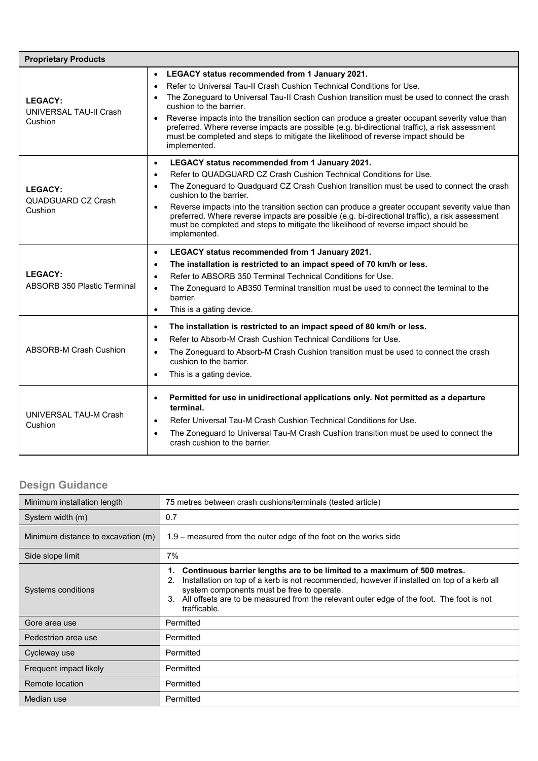| <b>Proprietary Products</b>                                                                                                                                                                                                                                                                                                                                                |                                                                                                                                                                                                                                                                                                                                                                                                                                                                                                                                                                                                                  |  |  |
|----------------------------------------------------------------------------------------------------------------------------------------------------------------------------------------------------------------------------------------------------------------------------------------------------------------------------------------------------------------------------|------------------------------------------------------------------------------------------------------------------------------------------------------------------------------------------------------------------------------------------------------------------------------------------------------------------------------------------------------------------------------------------------------------------------------------------------------------------------------------------------------------------------------------------------------------------------------------------------------------------|--|--|
| <b>LEGACY:</b><br><b>UNIVERSAL TAU-II Crash</b><br>Cushion                                                                                                                                                                                                                                                                                                                 | LEGACY status recommended from 1 January 2021.<br>$\bullet$<br>Refer to Universal Tau-II Crash Cushion Technical Conditions for Use.<br>$\bullet$<br>The Zoneguard to Universal Tau-II Crash Cushion transition must be used to connect the crash<br>$\bullet$<br>cushion to the barrier.<br>Reverse impacts into the transition section can produce a greater occupant severity value than<br>$\bullet$<br>preferred. Where reverse impacts are possible (e.g. bi-directional traffic), a risk assessment<br>must be completed and steps to mitigate the likelihood of reverse impact should be<br>implemented. |  |  |
| <b>LEGACY:</b><br>QUADGUARD CZ Crash<br>Cushion                                                                                                                                                                                                                                                                                                                            | LEGACY status recommended from 1 January 2021.<br>$\bullet$<br>Refer to QUADGUARD CZ Crash Cushion Technical Conditions for Use.<br>$\bullet$<br>The Zoneguard to Quadguard CZ Crash Cushion transition must be used to connect the crash<br>$\bullet$<br>cushion to the barrier.<br>Reverse impacts into the transition section can produce a greater occupant severity value than<br>$\bullet$<br>preferred. Where reverse impacts are possible (e.g. bi-directional traffic), a risk assessment<br>must be completed and steps to mitigate the likelihood of reverse impact should be<br>implemented.         |  |  |
| <b>LEGACY:</b><br><b>ABSORB 350 Plastic Terminal</b>                                                                                                                                                                                                                                                                                                                       | LEGACY status recommended from 1 January 2021.<br>$\bullet$<br>The installation is restricted to an impact speed of 70 km/h or less.<br>$\bullet$<br>Refer to ABSORB 350 Terminal Technical Conditions for Use.<br>$\bullet$<br>The Zoneguard to AB350 Terminal transition must be used to connect the terminal to the<br>$\bullet$<br>barrier.<br>This is a gating device.<br>$\bullet$                                                                                                                                                                                                                         |  |  |
| <b>ABSORB-M Crash Cushion</b>                                                                                                                                                                                                                                                                                                                                              | The installation is restricted to an impact speed of 80 km/h or less.<br>$\bullet$<br>Refer to Absorb-M Crash Cushion Technical Conditions for Use.<br>$\bullet$<br>The Zoneguard to Absorb-M Crash Cushion transition must be used to connect the crash<br>$\bullet$<br>cushion to the barrier.<br>This is a gating device.<br>$\bullet$                                                                                                                                                                                                                                                                        |  |  |
| Permitted for use in unidirectional applications only. Not permitted as a departure<br>$\bullet$<br>terminal.<br>UNIVERSAL TAU-M Crash<br>Refer Universal Tau-M Crash Cushion Technical Conditions for Use.<br>$\bullet$<br>Cushion<br>The Zoneguard to Universal Tau-M Crash Cushion transition must be used to connect the<br>$\bullet$<br>crash cushion to the barrier. |                                                                                                                                                                                                                                                                                                                                                                                                                                                                                                                                                                                                                  |  |  |

### **Design Guidance**

| Minimum installation length        | 75 metres between crash cushions/terminals (tested article)                                                                                                                                                                                                                                                                                      |  |  |
|------------------------------------|--------------------------------------------------------------------------------------------------------------------------------------------------------------------------------------------------------------------------------------------------------------------------------------------------------------------------------------------------|--|--|
| System width (m)                   | 0.7                                                                                                                                                                                                                                                                                                                                              |  |  |
| Minimum distance to excavation (m) | $1.9$ – measured from the outer edge of the foot on the works side                                                                                                                                                                                                                                                                               |  |  |
| Side slope limit                   | 7%                                                                                                                                                                                                                                                                                                                                               |  |  |
| Systems conditions                 | Continuous barrier lengths are to be limited to a maximum of 500 metres.<br>1.<br>Installation on top of a kerb is not recommended, however if installed on top of a kerb all<br>2.<br>system components must be free to operate.<br>3. All offsets are to be measured from the relevant outer edge of the foot. The foot is not<br>trafficable. |  |  |
| Gore area use                      | Permitted                                                                                                                                                                                                                                                                                                                                        |  |  |
| Pedestrian area use                | Permitted                                                                                                                                                                                                                                                                                                                                        |  |  |
| Cycleway use                       | Permitted                                                                                                                                                                                                                                                                                                                                        |  |  |
| Frequent impact likely             | Permitted                                                                                                                                                                                                                                                                                                                                        |  |  |
| Remote location                    | Permitted                                                                                                                                                                                                                                                                                                                                        |  |  |
| Median use                         | Permitted                                                                                                                                                                                                                                                                                                                                        |  |  |